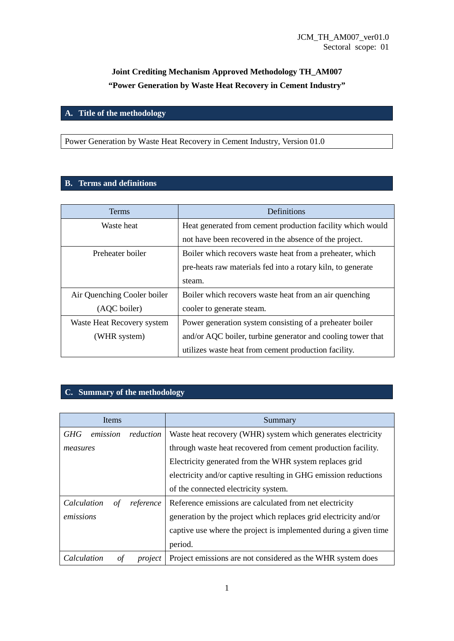# **Joint Crediting Mechanism Approved Methodology TH\_AM007 "Power Generation by Waste Heat Recovery in Cement Industry"**

# **A. Title of the methodology**

Power Generation by Waste Heat Recovery in Cement Industry, Version 01.0

### **B. Terms and definitions**

| <b>Terms</b>                | Definitions                                                 |
|-----------------------------|-------------------------------------------------------------|
| Waste heat                  | Heat generated from cement production facility which would  |
|                             | not have been recovered in the absence of the project.      |
| Preheater boiler            | Boiler which recovers waste heat from a preheater, which    |
|                             | pre-heats raw materials fed into a rotary kiln, to generate |
|                             | steam.                                                      |
| Air Quenching Cooler boiler | Boiler which recovers waste heat from an air quenching      |
| (AQC boiler)                | cooler to generate steam.                                   |
| Waste Heat Recovery system  | Power generation system consisting of a preheater boiler    |
| (WHR system)                | and/or AQC boiler, turbine generator and cooling tower that |
|                             | utilizes waste heat from cement production facility.        |

## **C. Summary of the methodology**

|             | <b>Items</b> |                                                               | Summary                                                          |
|-------------|--------------|---------------------------------------------------------------|------------------------------------------------------------------|
| <b>GHG</b>  | emission     | reduction                                                     | Waste heat recovery (WHR) system which generates electricity     |
| measures    |              | through waste heat recovered from cement production facility. |                                                                  |
|             |              |                                                               | Electricity generated from the WHR system replaces grid          |
|             |              |                                                               | electricity and/or captive resulting in GHG emission reductions  |
|             |              |                                                               | of the connected electricity system.                             |
| Calculation | οf           | reference                                                     | Reference emissions are calculated from net electricity          |
| emissions   |              |                                                               | generation by the project which replaces grid electricity and/or |
|             |              |                                                               | captive use where the project is implemented during a given time |
|             |              |                                                               | period.                                                          |
| Calculation | οf           | project                                                       | Project emissions are not considered as the WHR system does      |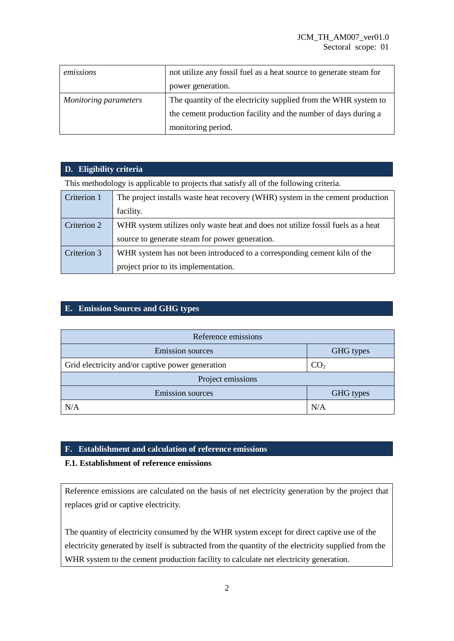| emissions             | not utilize any fossil fuel as a heat source to generate steam for |  |
|-----------------------|--------------------------------------------------------------------|--|
|                       | power generation.                                                  |  |
| Monitoring parameters | The quantity of the electricity supplied from the WHR system to    |  |
|                       | the cement production facility and the number of days during a     |  |
|                       | monitoring period.                                                 |  |

## **D. Eligibility criteria**

This methodology is applicable to projects that satisfy all of the following criteria.

| Criterion 1 | The project installs waste heat recovery (WHR) system in the cement production  |  |  |
|-------------|---------------------------------------------------------------------------------|--|--|
|             | facility.                                                                       |  |  |
| Criterion 2 | WHR system utilizes only waste heat and does not utilize fossil fuels as a heat |  |  |
|             | source to generate steam for power generation.                                  |  |  |
| Criterion 3 | WHR system has not been introduced to a corresponding cement kiln of the        |  |  |
|             | project prior to its implementation.                                            |  |  |

### **E. Emission Sources and GHG types**

| Reference emissions                              |                 |  |
|--------------------------------------------------|-----------------|--|
| <b>Emission</b> sources                          | GHG types       |  |
| Grid electricity and/or captive power generation | CO <sub>2</sub> |  |
| Project emissions                                |                 |  |
| <b>Emission sources</b>                          | GHG types       |  |
| N/A                                              | N/A             |  |

#### **F. Establishment and calculation of reference emissions**

#### **F.1. Establishment of reference emissions**

Reference emissions are calculated on the basis of net electricity generation by the project that replaces grid or captive electricity.

The quantity of electricity consumed by the WHR system except for direct captive use of the electricity generated by itself is subtracted from the quantity of the electricity supplied from the WHR system to the cement production facility to calculate net electricity generation.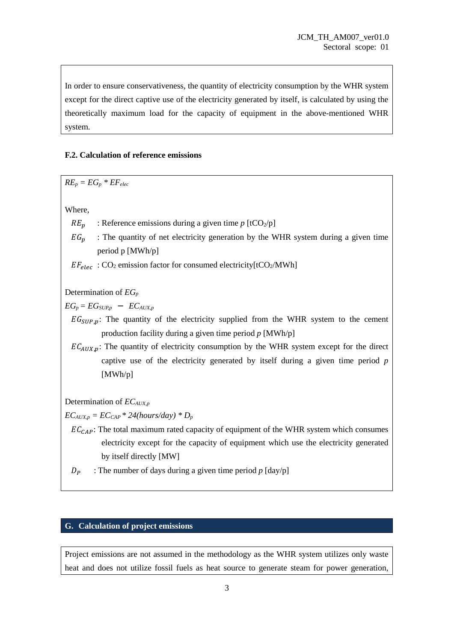In order to ensure conservativeness, the quantity of electricity consumption by the WHR system except for the direct captive use of the electricity generated by itself, is calculated by using the theoretically maximum load for the capacity of equipment in the above-mentioned WHR system.

#### **F.2. Calculation of reference emissions**

 $RE_p = EG_p * EF_{elec}$ 

Where,

- $RE_n$  : Reference emissions during a given time *p* [tCO<sub>2</sub>/p]
- $EG_n$  : The quantity of net electricity generation by the WHR system during a given time period p [MWh/p]

 $EF_{elec}$ : CO<sub>2</sub> emission factor for consumed electricity[tCO<sub>2</sub>/MWh]

Determination of *EG<sup>p</sup>*

 $EG_p = EG_{SUPp} - EC_{AUX,p}$ 

 $EG_{SIPP,n}$ : The quantity of the electricity supplied from the WHR system to the cement production facility during a given time period *p* [MWh/p]

 $EC_{AUX,p}$ : The quantity of electricity consumption by the WHR system except for the direct captive use of the electricity generated by itself during a given time period *p* [MWh/p]

Determination of *ECAUX,p*

 $EC_{AUX,p} = EC_{CAP} * 24(hours/day) * D_p$ 

 $EC_{CAP}$ : The total maximum rated capacity of equipment of the WHR system which consumes electricity except for the capacity of equipment which use the electricity generated by itself directly [MW]

 $D_p$  : The number of days during a given time period  $p$  [day/p]

#### **G. Calculation of project emissions**

Project emissions are not assumed in the methodology as the WHR system utilizes only waste heat and does not utilize fossil fuels as heat source to generate steam for power generation,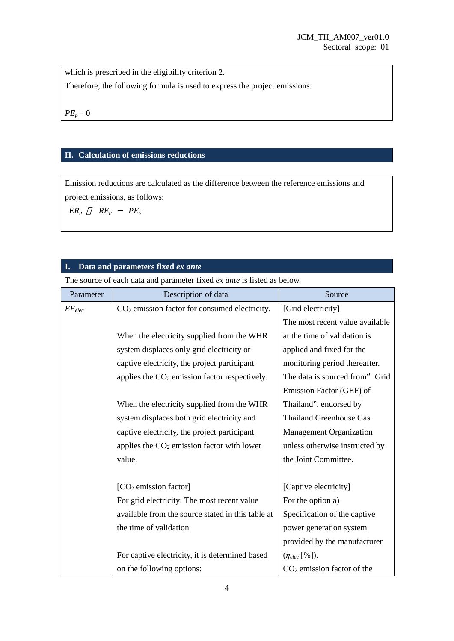which is prescribed in the eligibility criterion 2.

Therefore, the following formula is used to express the project emissions:

 $PE_p = 0$ 

### **H. Calculation of emissions reductions**

Emission reductions are calculated as the difference between the reference emissions and project emissions, as follows:

 $ER_p$   $RE_p$  -  $PE_p$ 

## **I. Data and parameters fixed** *ex ante*

The source of each data and parameter fixed *ex ante* is listed as below.

| Parameter   | Description of data                                       | Source                          |  |
|-------------|-----------------------------------------------------------|---------------------------------|--|
| $EF_{elec}$ | CO <sub>2</sub> emission factor for consumed electricity. | [Grid electricity]              |  |
|             |                                                           | The most recent value available |  |
|             | When the electricity supplied from the WHR                | at the time of validation is    |  |
|             | system displaces only grid electricity or                 | applied and fixed for the       |  |
|             | captive electricity, the project participant              | monitoring period thereafter.   |  |
|             | applies the $CO2$ emission factor respectively.           | The data is sourced from" Grid  |  |
|             |                                                           | Emission Factor (GEF) of        |  |
|             | When the electricity supplied from the WHR                | Thailand", endorsed by          |  |
|             | system displaces both grid electricity and                | <b>Thailand Greenhouse Gas</b>  |  |
|             | captive electricity, the project participant              | <b>Management Organization</b>  |  |
|             | applies the $CO2$ emission factor with lower              | unless otherwise instructed by  |  |
|             | value.                                                    | the Joint Committee.            |  |
|             |                                                           |                                 |  |
|             | $[CO2$ emission factor]                                   | [Captive electricity]           |  |
|             | For grid electricity: The most recent value               | For the option a)               |  |
|             | available from the source stated in this table at         | Specification of the captive    |  |
|             | the time of validation                                    | power generation system         |  |
|             |                                                           | provided by the manufacturer    |  |
|             | For captive electricity, it is determined based           | $(\eta_{elec} [\%]).$           |  |
|             | on the following options:                                 | $CO2$ emission factor of the    |  |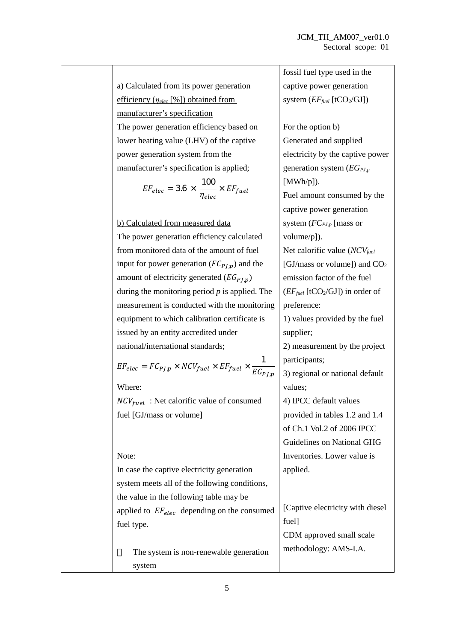a) Calculated from its power generation efficiency (*ηelec* [%]) obtained from manufacturer's specification The power generation efficiency based on lower heating value (LHV) of the captive power generation system from the manufacturer's specification is applied;

$$
EF_{elec} = 3.6 \times \frac{100}{\eta_{elec}} \times EF_{fuel}
$$

b) Calculated from measured data

The power generation efficiency calculated from monitored data of the amount of fuel input for power generation  $(FC_{PLD})$  and the amount of electricity generated  $(EG_{PI,p})$ during the monitoring period *p* is applied. The measurement is conducted with the monitoring equipment to which calibration certificate is issued by an entity accredited under national/international standards;

$$
EF_{elec} = FC_{PJ,p} \times NCV_{fuel} \times EF_{fuel} \times \frac{1}{EG_{PJ,p}}
$$

Where:

 $NCV_{fuel}$ : Net calorific value of consumed fuel [GJ/mass or volume]

#### Note:

In case the captive electricity generation system meets all of the following conditions, the value in the following table may be applied to  $EF_{elec}$  depending on the consumed fuel type.

The system is non-renewable generation system

fossil fuel type used in the captive power generation system  $(EF_{fuel}$  [tCO<sub>2</sub>/GJ]) For the option b) Generated and supplied electricity by the captive power generation system (*EGPJ,p* [MWh/p]). Fuel amount consumed by the captive power generation system (*FCPJ,p* [mass or volume/p]). Net calorific value (*NCVfuel* [GJ/mass or volume]) and  $CO<sub>2</sub>$ emission factor of the fuel (*EFfuel* [tCO2/GJ]) in order of preference: 1) values provided by the fuel supplier; 2) measurement by the project participants; 3) regional or national default values; 4) IPCC default values provided in tables 1.2 and 1.4 of Ch.1 Vol.2 of 2006 IPCC Guidelines on National GHG Inventories. Lower value is applied. [Captive electricity with diesel fuel]

CDM approved small scale methodology: AMS-I.A.